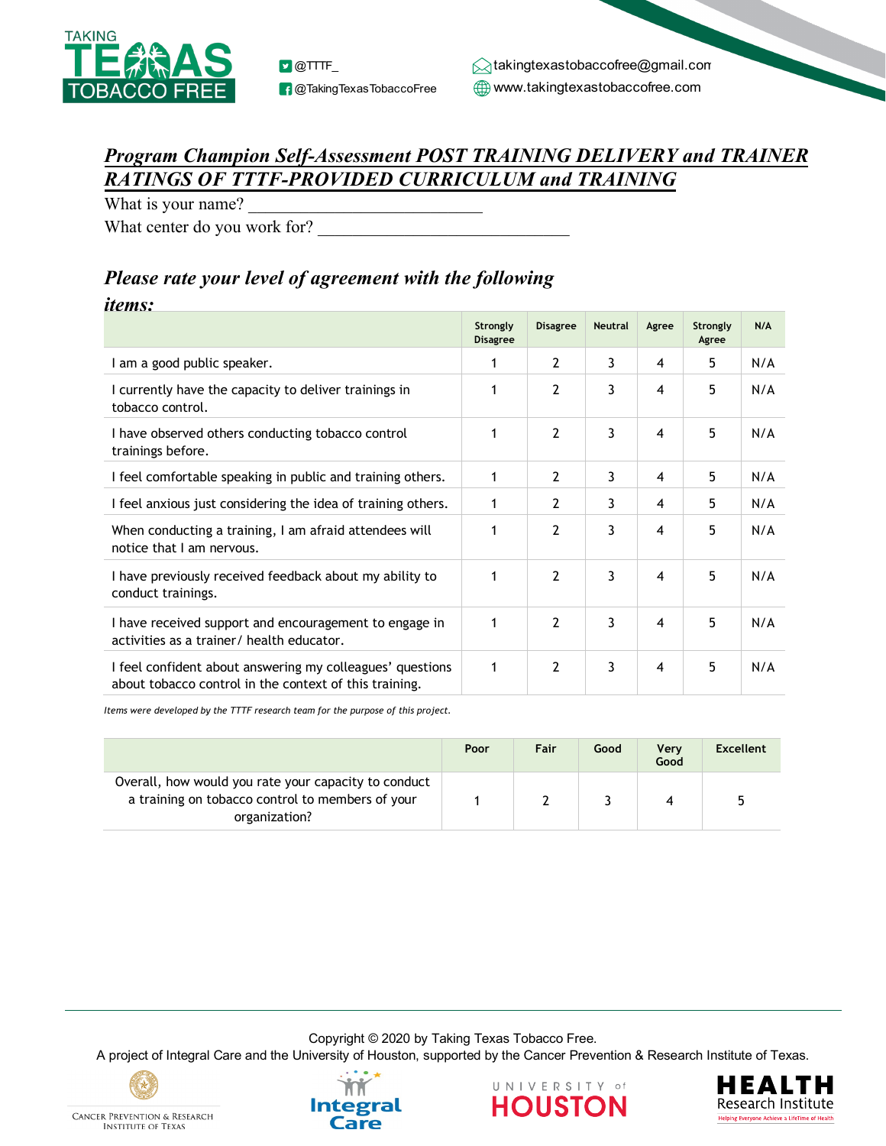

## *Program Champion Self-Assessment POST TRAINING DELIVERY and TRAINER RATINGS OF TTTF-PROVIDED CURRICULUM and TRAINING*

What is your name?

What center do you work for?

## *Please rate your level of agreement with the following*

## *items:*

|                                                                                                                     | Strongly<br><b>Disagree</b> | <b>Disagree</b> | <b>Neutral</b> | Agree | Strongly<br>Agree | N/A |
|---------------------------------------------------------------------------------------------------------------------|-----------------------------|-----------------|----------------|-------|-------------------|-----|
| I am a good public speaker.                                                                                         | 1                           | 2               | 3              | 4     | 5                 | N/A |
| I currently have the capacity to deliver trainings in<br>tobacco control.                                           | 1                           | $\overline{2}$  | 3              | 4     | 5                 | N/A |
| I have observed others conducting tobacco control<br>trainings before.                                              | 1                           | $\overline{2}$  | 3              | 4     | 5                 | N/A |
| I feel comfortable speaking in public and training others.                                                          | 1                           | 2               | 3              | 4     | 5                 | N/A |
| I feel anxious just considering the idea of training others.                                                        | 1                           | $\overline{2}$  | 3              | 4     | 5                 | N/A |
| When conducting a training, I am afraid attendees will<br>notice that I am nervous.                                 | 1                           | $\overline{2}$  | 3              | 4     | 5                 | N/A |
| I have previously received feedback about my ability to<br>conduct trainings.                                       | 1                           | $\overline{2}$  | 3              | 4     | 5                 | N/A |
| I have received support and encouragement to engage in<br>activities as a trainer/ health educator.                 | 1                           | $\overline{2}$  | 3              | 4     | 5                 | N/A |
| I feel confident about answering my colleagues' questions<br>about tobacco control in the context of this training. | 1                           | $\overline{2}$  | 3              | 4     | 5                 | N/A |

*Items were developed by the TTTF research team for the purpose of this project.* 

|                                                                                                                           | Poor | Fair | Good | <b>Verv</b><br>Good | <b>Excellent</b> |
|---------------------------------------------------------------------------------------------------------------------------|------|------|------|---------------------|------------------|
| Overall, how would you rate your capacity to conduct<br>a training on tobacco control to members of your<br>organization? |      |      |      |                     |                  |

Copyright © 2020 by Taking Texas Tobacco Free.

A project of Integral Care and the University of Houston, supported by the Cancer Prevention & Research Institute of Texas.



**INSTITUTE OF TEXAS**